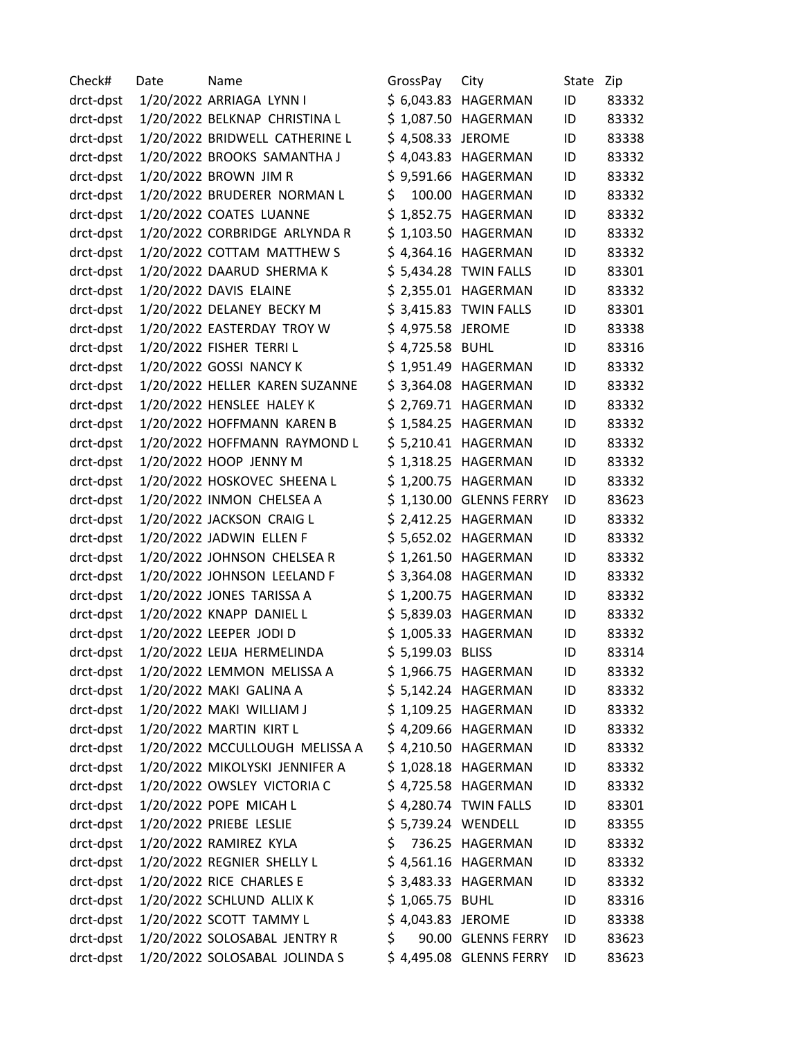| Check#    | Date | Name                           | GrossPay           | City                    | State | Zip   |
|-----------|------|--------------------------------|--------------------|-------------------------|-------|-------|
| drct-dpst |      | 1/20/2022 ARRIAGA LYNN I       |                    | \$ 6,043.83 HAGERMAN    | ID    | 83332 |
| drct-dpst |      | 1/20/2022 BELKNAP CHRISTINA L  |                    | \$1,087.50 HAGERMAN     | ID    | 83332 |
| drct-dpst |      | 1/20/2022 BRIDWELL CATHERINE L | \$4,508.33 JEROME  |                         | ID    | 83338 |
| drct-dpst |      | 1/20/2022 BROOKS SAMANTHA J    |                    | \$4,043.83 HAGERMAN     | ID    | 83332 |
| drct-dpst |      | 1/20/2022 BROWN JIM R          |                    | \$9,591.66 HAGERMAN     | ID    | 83332 |
| drct-dpst |      | 1/20/2022 BRUDERER NORMAN L    | \$                 | 100.00 HAGERMAN         | ID    | 83332 |
| drct-dpst |      | 1/20/2022 COATES LUANNE        |                    | \$1,852.75 HAGERMAN     | ID    | 83332 |
| drct-dpst |      | 1/20/2022 CORBRIDGE ARLYNDA R  |                    | \$1,103.50 HAGERMAN     | ID    | 83332 |
| drct-dpst |      | 1/20/2022 COTTAM MATTHEW S     |                    | \$4,364.16 HAGERMAN     | ID    | 83332 |
| drct-dpst |      | 1/20/2022 DAARUD SHERMA K      |                    | \$5,434.28 TWIN FALLS   | ID    | 83301 |
| drct-dpst |      | 1/20/2022 DAVIS ELAINE         |                    | \$ 2,355.01 HAGERMAN    | ID    | 83332 |
| drct-dpst |      | 1/20/2022 DELANEY BECKY M      |                    | \$3,415.83 TWIN FALLS   | ID    | 83301 |
| drct-dpst |      | 1/20/2022 EASTERDAY TROY W     | \$4,975.58 JEROME  |                         | ID    | 83338 |
| drct-dpst |      | 1/20/2022 FISHER TERRIL        | \$4,725.58 BUHL    |                         | ID    | 83316 |
| drct-dpst |      | 1/20/2022 GOSSI NANCY K        |                    | \$1,951.49 HAGERMAN     | ID    | 83332 |
| drct-dpst |      | 1/20/2022 HELLER KAREN SUZANNE |                    | \$3,364.08 HAGERMAN     | ID    | 83332 |
| drct-dpst |      | 1/20/2022 HENSLEE HALEY K      |                    | \$ 2,769.71 HAGERMAN    | ID    | 83332 |
| drct-dpst |      | 1/20/2022 HOFFMANN KAREN B     |                    | \$1,584.25 HAGERMAN     | ID    | 83332 |
| drct-dpst |      | 1/20/2022 HOFFMANN RAYMOND L   |                    | \$5,210.41 HAGERMAN     | ID    | 83332 |
| drct-dpst |      | 1/20/2022 HOOP JENNY M         |                    | \$1,318.25 HAGERMAN     | ID    | 83332 |
| drct-dpst |      | 1/20/2022 HOSKOVEC SHEENA L    |                    | \$1,200.75 HAGERMAN     | ID    | 83332 |
| drct-dpst |      | 1/20/2022 INMON CHELSEA A      |                    | \$1,130.00 GLENNS FERRY | ID    | 83623 |
| drct-dpst |      | 1/20/2022 JACKSON CRAIG L      |                    | \$ 2,412.25 HAGERMAN    | ID    | 83332 |
| drct-dpst |      | 1/20/2022 JADWIN ELLEN F       |                    | \$5,652.02 HAGERMAN     | ID    | 83332 |
| drct-dpst |      | 1/20/2022 JOHNSON CHELSEA R    |                    | \$1,261.50 HAGERMAN     | ID    | 83332 |
| drct-dpst |      | 1/20/2022 JOHNSON LEELAND F    |                    | \$3,364.08 HAGERMAN     | ID    | 83332 |
| drct-dpst |      | 1/20/2022 JONES TARISSA A      |                    | \$1,200.75 HAGERMAN     | ID    | 83332 |
| drct-dpst |      | 1/20/2022 KNAPP DANIEL L       |                    | \$5,839.03 HAGERMAN     | ID    | 83332 |
| drct-dpst |      | 1/20/2022 LEEPER JODI D        |                    | \$1,005.33 HAGERMAN     | ID    | 83332 |
| drct-dpst |      | 1/20/2022 LEIJA HERMELINDA     | \$5,199.03 BLISS   |                         | ID    | 83314 |
| drct-dpst |      | 1/20/2022 LEMMON MELISSA A     |                    | \$1,966.75 HAGERMAN     | ID    | 83332 |
| drct-dpst |      | 1/20/2022 MAKI GALINA A        |                    | \$5,142.24 HAGERMAN     | ID    | 83332 |
| drct-dpst |      | 1/20/2022 MAKI WILLIAM J       |                    | \$1,109.25 HAGERMAN     | ID    | 83332 |
| drct-dpst |      | 1/20/2022 MARTIN KIRT L        |                    | \$4,209.66 HAGERMAN     | ID    | 83332 |
| drct-dpst |      | 1/20/2022 MCCULLOUGH MELISSA A |                    | \$4,210.50 HAGERMAN     | ID    | 83332 |
| drct-dpst |      | 1/20/2022 MIKOLYSKI JENNIFER A |                    | \$1,028.18 HAGERMAN     | ID    | 83332 |
| drct-dpst |      | 1/20/2022 OWSLEY VICTORIA C    |                    | \$4,725.58 HAGERMAN     | ID    | 83332 |
| drct-dpst |      | 1/20/2022 POPE MICAH L         |                    | \$4,280.74 TWIN FALLS   | ID    | 83301 |
| drct-dpst |      | 1/20/2022 PRIEBE LESLIE        | \$5,739.24 WENDELL |                         | ID    | 83355 |
| drct-dpst |      | 1/20/2022 RAMIREZ KYLA         |                    | \$ 736.25 HAGERMAN      | ID    | 83332 |
| drct-dpst |      | 1/20/2022 REGNIER SHELLY L     |                    | \$4,561.16 HAGERMAN     | ID    | 83332 |
| drct-dpst |      | 1/20/2022 RICE CHARLES E       |                    | \$ 3,483.33 HAGERMAN    | ID    | 83332 |
| drct-dpst |      | 1/20/2022 SCHLUND ALLIX K      | \$1,065.75 BUHL    |                         | ID    | 83316 |
| drct-dpst |      | 1/20/2022 SCOTT TAMMY L        | \$4,043.83 JEROME  |                         | ID    | 83338 |
| drct-dpst |      | 1/20/2022 SOLOSABAL JENTRY R   | \$                 | 90.00 GLENNS FERRY      | ID    | 83623 |
| drct-dpst |      | 1/20/2022 SOLOSABAL JOLINDA S  |                    | \$4,495.08 GLENNS FERRY | ID    | 83623 |